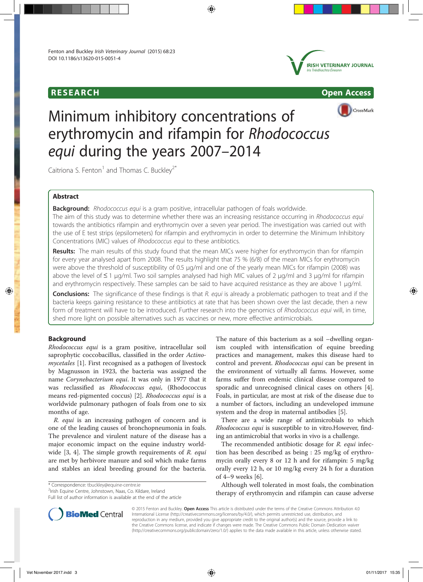





# Minimum inhibitory concentrations of erythromycin and rifampin for Rhodococcus equi during the years 2007–2014

Caitriona S. Fenton<sup>1</sup> and Thomas C. Bucklev<sup>2\*</sup>

### Abstract

Background: Rhodococcus equi is a gram positive, intracellular pathogen of foals worldwide.

The aim of this study was to determine whether there was an increasing resistance occurring in Rhodococcus equi towards the antibiotics rifampin and erythromycin over a seven year period. The investigation was carried out with the use of E test strips (epsilometers) for rifampin and erythromycin in order to determine the Minimum Inhibitory Concentrations (MIC) values of Rhodococcus equi to these antibiotics.

Results: The main results of this study found that the mean MICs were higher for erythromycin than for rifampin for every year analysed apart from 2008. The results highlight that 75 % (6/8) of the mean MICs for erythromycin were above the threshold of susceptibility of 0.5 μg/ml and one of the yearly mean MICs for rifampin (2008) was above the level of ≤ 1 μg/ml. Two soil samples analysed had high MIC values of 2 μg/ml and 3 μg/ml for rifampin and erythromycin respectively. These samples can be said to have acquired resistance as they are above 1 μg/ml.

**Conclusions:** The significance of these findings is that R. equi is already a problematic pathogen to treat and if the bacteria keeps gaining resistance to these antibiotics at rate that has been shown over the last decade, then a new form of treatment will have to be introduced. Further research into the genomics of Rhodococcus equi will, in time, shed more light on possible alternatives such as vaccines or new, more effective antimicrobials.

### Background

Rhodococcus equi is a gram positive, intracellular soil saprophytic coccobacillus, classified in the order Actinomycetales [1]. First recognised as a pathogen of livestock by Magnusson in 1923, the bacteria was assigned the name Corynebacterium equi. It was only in 1977 that it was reclassified as Rhodococcus equi, (Rhodococcus means red-pigmented coccus) [2]. Rhodococcus equi is a worldwide pulmonary pathogen of foals from one to six months of age.

R. equi is an increasing pathogen of concern and is one of the leading causes of bronchopneumonia in foals. The prevalence and virulent nature of the disease has a major economic impact on the equine industry worldwide  $[3, 4]$ . The simple growth requirements of R. equi are met by herbivore manure and soil which make farms and stables an ideal breeding ground for the bacteria.

\* Correspondence: tbuckley@equine-centre.ie <sup>2</sup>

<sup>2</sup>Irish Equine Centre, Johnstown, Naas, Co. Kildare, Ireland

Full list of author information is available at the end of the article

The nature of this bacterium as a soil –dwelling organism coupled with intensification of equine breeding practices and management, makes this disease hard to control and prevent. Rhodococcus equi can be present in the environment of virtually all farms. However, some farms suffer from endemic clinical disease compared to sporadic and unrecognised clinical cases on others [4]. Foals, in particular, are most at risk of the disease due to a number of factors, including an undeveloped immune system and the drop in maternal antibodies [5].

There are a wide range of antimicrobials to which Rhodococcus equi is susceptible to in vitro.However, finding an antimicrobial that works in vivo is a challenge.

The recommended antibiotic dosage for R. equi infection has been described as being : 25 mg/kg of erythromycin orally every 8 or 12 h and for rifampin: 5 mg/kg orally every 12 h, or 10 mg/kg every 24 h for a duration of 4–9 weeks [6].

Although well tolerated in most foals, the combination therapy of erythromycin and rifampin can cause adverse



© 2015 Fenton and Buckley. Open Access This article is distributed under the terms of the Creative Commons Attribution 4.0 International License (http://creativecommons.org/licenses/by/4.0/), which permits unrestricted use, distribution, and reproduction in any medium, provided you give appropriate credit to the original author(s) and the source, provide a link to the Creative Commons license, and indicate if changes were made. The Creative Commons Public Domain Dedication waiver (http://creativecommons.org/publicdomain/zero/1.0/) applies to the data made available in this article, unless otherwise stated.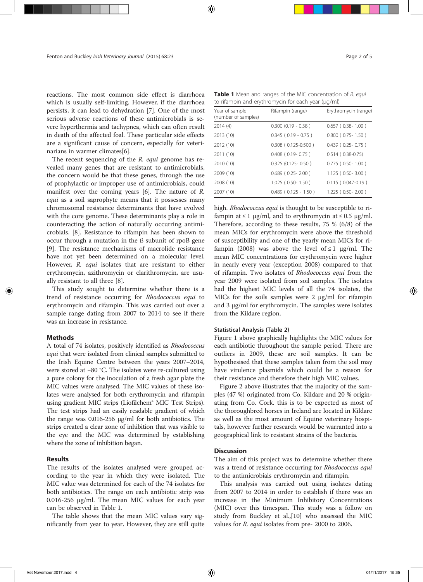reactions. The most common side effect is diarrhoea which is usually self-limiting. However, if the diarrhoea persists, it can lead to dehydration [7]. One of the most serious adverse reactions of these antimicrobials is severe hyperthermia and tachypnea, which can often result in death of the affected foal. These particular side effects are a significant cause of concern, especially for veterinarians in warmer climates[6].

The recent sequencing of the R. equi genome has revealed many genes that are resistant to antimicrobials, the concern would be that these genes, through the use of prophylactic or improper use of antimicrobials, could manifest over the coming years [6]. The nature of R. equi as a soil saprophyte means that it possesses many chromosomal resistance determinants that have evolved with the core genome. These determinants play a role in counteracting the action of naturally occurring antimicrobials. [8]. Resistance to rifampin has been shown to occur through a mutation in the ß subunit of rpoB gene [9]. The resistance mechanisms of macrolide resistance have not yet been determined on a molecular level. However, R. equi isolates that are resistant to either erythromycin, azithromycin or clarithromycin, are usually resistant to all three [8].

This study sought to determine whether there is a trend of resistance occurring for Rhodococcus equi to erythromycin and rifampin. This was carried out over a sample range dating from 2007 to 2014 to see if there was an increase in resistance.

#### **Methods**

A total of 74 isolates, positively identified as Rhodococcus equi that were isolated from clinical samples submitted to the Irish Equine Centre between the years 2007–2014, were stored at −80 °C. The isolates were re-cultured using a pure colony for the inoculation of a fresh agar plate the MIC values were analysed. The MIC values of these isolates were analysed for both erythromycin and rifampin using gradient MIC strips (Liofilchem® MIC Test Strips). The test strips had an easily readable gradient of which the range was 0.016-256 μg/ml for both antibiotics. The strips created a clear zone of inhibition that was visible to the eye and the MIC was determined by establishing where the zone of inhibition began.

#### Results

The results of the isolates analysed were grouped according to the year in which they were isolated. The MIC value was determined for each of the 74 isolates for both antibiotics. The range on each antibiotic strip was 0.016-256 μg/ml. The mean MIC values for each year can be observed in Table 1.

The table shows that the mean MIC values vary significantly from year to year. However, they are still quite

Table 1 Mean and ranges of the MIC concentration of R. equi to rifampin and erythromycin for each year (μg/ml)

| Year of sample<br>(number of samples) | Rifampin (range)            | Erythromycin (range)      |  |  |  |
|---------------------------------------|-----------------------------|---------------------------|--|--|--|
| 2014 (4)                              | $0.300$ $(0.19 - 0.38)$     | $0.657$ ( $0.38 - 1.00$ ) |  |  |  |
| 2013 (10)                             | $0.345$ ( $0.19 - 0.75$ )   | $0.800$ ( $0.75 - 1.50$ ) |  |  |  |
| 2012 (10)                             | $0.308$ ( $0.125 - 0.500$ ) | $0.439$ ( $0.25 - 0.75$ ) |  |  |  |
| 2011 (10)                             | $0.408$ ( $0.19 - 0.75$ )   | $0.514(0.38-0.75)$        |  |  |  |
| 2010 (10)                             | $0.325(0.125 - 0.50)$       | $0.775$ ( $0.50 - 1.00$ ) |  |  |  |
| 2009 (10)                             | $0.689$ ( $0.25 - 2.00$ )   | $1.125(0.50-3.00)$        |  |  |  |
| 2008 (10)                             | $1.025$ (0.50-1.50)         | $0.115(0.047-0.19)$       |  |  |  |
| 2007 (10)                             | $0.489$ ( $0.125 - 1.50$ )  | $1.225$ (0.50-2.00)       |  |  |  |
|                                       |                             |                           |  |  |  |

high. *Rhodococcus equi* is thought to be susceptible to rifampin at  $\leq 1$  μg/ml, and to erythromycin at  $\leq 0.5$  μg/ml. Therefore, according to these results, 75 % (6/8) of the mean MICs for erythromycin were above the threshold of susceptibility and one of the yearly mean MICs for rifampin (2008) was above the level of  $\leq 1$  µg/ml. The mean MIC concentrations for erythromycin were higher in nearly every year (exception 2008) compared to that of rifampin. Two isolates of Rhodococcus equi from the year 2009 were isolated from soil samples. The isolates had the highest MIC levels of all the 74 isolates, the MICs for the soils samples were 2 μg/ml for rifampin and 3 μg/ml for erythromycin. The samples were isolates from the Kildare region.

#### Statistical Analysis (Table 2)

Figure 1 above graphically highlights the MIC values for each antibiotic throughout the sample period. There are outliers in 2009, these are soil samples. It can be hypothesised that these samples taken from the soil may have virulence plasmids which could be a reason for their resistance and therefore their high MIC values.

Figure 2 above illustrates that the majority of the samples (47 %) originated from Co. Kildare and 20 % originating from Co. Cork. this is to be expected as most of the thoroughbred horses in Ireland are located in Kildare as well as the most amount of Equine veterinary hospitals, however further research would be warranted into a geographical link to resistant strains of the bacteria.

#### **Discussion**

The aim of this project was to determine whether there was a trend of resistance occurring for *Rhodococcus equi* to the antimicrobials erythromycin and rifampin.

This analysis was carried out using isolates dating from 2007 to 2014 in order to establish if there was an increase in the Minimum Inhibitory Concentrations (MIC) over this timespan. This study was a follow on study from Buckley et al.,[10] who assessed the MIC values for *R. equi* isolates from pre- 2000 to 2006.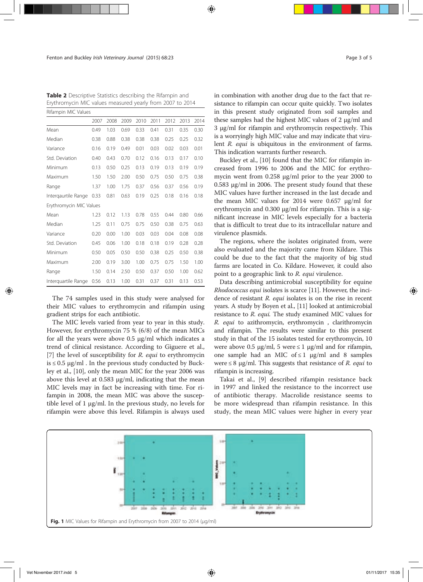Table 2 Descriptive Statistics describing the Rifampin and Erythromycin MIC values measured yearly from 2007 to 2014 Rifampin MIC Values

|                         | 2007 | 2008 | 2009 | 2010 | 2011 | 2012 | 2013 | 2014 |
|-------------------------|------|------|------|------|------|------|------|------|
| Mean                    | 0.49 | 1.03 | 0.69 | 0.33 | 0.41 | 0.31 | 0.35 | 0.30 |
| Median                  | 0.38 | 0.88 | 0.38 | 0.38 | 0.38 | 0.25 | 0.25 | 0.32 |
| Variance                | 0.16 | 0.19 | 0.49 | 0.01 | 0.03 | 0.02 | 0.03 | 0.01 |
| Std. Deviation          | 0.40 | 0.43 | 0.70 | 0.12 | 0.16 | 0.13 | 0.17 | 0.10 |
| Minimum                 | 0.13 | 0.50 | 0.25 | 0.13 | 0.19 | 0.13 | 0.19 | 0.19 |
| Maximum                 | 1.50 | 1.50 | 2.00 | 0.50 | 0.75 | 0.50 | 0.75 | 0.38 |
| Range                   | 1.37 | 1.00 | 1.75 | 0.37 | 0.56 | 0.37 | 0.56 | 0.19 |
| Intergaurtile Range     | 0.33 | 0.81 | 0.63 | 0.19 | 0.25 | 0.18 | 0.16 | 0.18 |
| Erythromycin MIC Values |      |      |      |      |      |      |      |      |
| Mean                    | 1.23 | 0.12 | 1.13 | 0.78 | 0.55 | 0.44 | 0.80 | 0.66 |
| Median                  | 1.25 | 0.11 | 0.75 | 0.75 | 0.50 | 0.38 | 0.75 | 0.63 |
| Variance                | 0.20 | 0.00 | 1.00 | 0.03 | 0.03 | 0.04 | 0.08 | 0.08 |
| Std. Deviation          | 0.45 | 0.06 | 1.00 | 0.18 | 0.18 | 0.19 | 0.28 | 0.28 |
| Minimum                 | 0.50 | 0.05 | 0.50 | 0.50 | 0.38 | 0.25 | 0.50 | 0.38 |
| Maximum                 | 2.00 | 0.19 | 3.00 | 1.00 | 0.75 | 0.75 | 1.50 | 1.00 |
| Range                   | 1.50 | 0.14 | 2.50 | 0.50 | 0.37 | 0.50 | 1.00 | 0.62 |
| Interguartile Range     | 0.56 | 0.13 | 1.00 | 0.31 | 0.37 | 0.31 | 0.13 | 0.53 |

The 74 samples used in this study were analysed for their MIC values to erythromycin and rifampin using gradient strips for each antibiotic.

The MIC levels varied from year to year in this study. However, for erythromycin 75 % (6/8) of the mean MICs for all the years were above 0.5 μg/ml which indicates a trend of clinical resistance. According to Giguere et al., [7] the level of susceptibility for R. equi to erythromycin  $is \leq 0.5$   $\mu$ g/ml. In the previous study conducted by Buckley et al., [10], only the mean MIC for the year 2006 was above this level at 0.583 μg/ml, indicating that the mean MIC levels may in fact be increasing with time. For rifampin in 2008, the mean MIC was above the susceptible level of 1 μg/ml. In the previous study, no levels for rifampin were above this level. Rifampin is always used in combination with another drug due to the fact that resistance to rifampin can occur quite quickly. Two isolates in this present study originated from soil samples and these samples had the highest MIC values of 2 μg/ml and 3 μg/ml for rifampin and erythromycin respectively. This is a worryingly high MIC value and may indicate that virulent R. equi is ubiquitous in the environment of farms. This indication warrants further research.

Buckley et al., [10] found that the MIC for rifampin increased from 1996 to 2006 and the MIC for erythromycin went from 0.258 μg/ml prior to the year 2000 to 0.583 μg/ml in 2006. The present study found that these MIC values have further increased in the last decade and the mean MIC values for 2014 were 0.657 μg/ml for erythromycin and 0.300 μg/ml for rifampin. This is a significant increase in MIC levels especially for a bacteria that is difficult to treat due to its intracellular nature and virulence plasmids.

The regions, where the isolates originated from, were also evaluated and the majority came from Kildare. This could be due to the fact that the majority of big stud farms are located in Co. Kildare. However, it could also point to a geographic link to R. equi virulence.

Data describing antimicrobial susceptibility for equine Rhodococcus equi isolates is scarce [11]. However, the incidence of resistant R. equi isolates is on the rise in recent years. A study by Boyen et al., [11] looked at antimicrobial resistance to R. equi. The study examined MIC values for R. equi to azithromycin, erythromycin , clarithromycin and rifampin. The results were similar to this present study in that of the 15 isolates tested for erythromycin, 10 were above 0.5  $\mu$ g/ml, 5 were  $\leq 1$   $\mu$ g/ml and for rifampin, one sample had an MIC of  $\leq 1$  µg/ml and 8 samples were  $\leq 8$  µg/ml. This suggests that resistance of R. equi to rifampin is increasing.

Takai et al., [9] described rifampin resistance back in 1997 and linked the resistance to the incorrect use of antibiotic therapy. Macrolide resistance seems to be more widespread than rifampin resistance. In this study, the mean MIC values were higher in every year

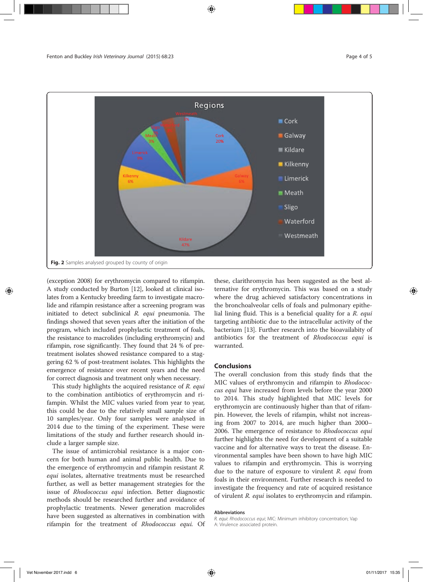

(exception 2008) for erythromycin compared to rifampin. A study conducted by Burton [12], looked at clinical isolates from a Kentucky breeding farm to investigate macrolide and rifampin resistance after a screening program was initiated to detect subclinical R. equi pneumonia. The findings showed that seven years after the initiation of the program, which included prophylactic treatment of foals, the resistance to macrolides (including erythromycin) and rifampin, rose significantly. They found that 24 % of pretreatment isolates showed resistance compared to a staggering 62 % of post-treatment isolates. This highlights the emergence of resistance over recent years and the need for correct diagnosis and treatment only when necessary.

This study highlights the acquired resistance of R. equi to the combination antibiotics of erythromycin and rifampin. Whilst the MIC values varied from year to year, this could be due to the relatively small sample size of 10 samples/year. Only four samples were analysed in 2014 due to the timing of the experiment. These were limitations of the study and further research should include a larger sample size.

The issue of antimicrobial resistance is a major concern for both human and animal public health. Due to the emergence of erythromycin and rifampin resistant R. equi isolates, alternative treatments must be researched further, as well as better management strategies for the issue of Rhodococcus equi infection. Better diagnostic methods should be researched further and avoidance of prophylactic treatments. Newer generation macrolides have been suggested as alternatives in combination with rifampin for the treatment of Rhodococcus equi. Of these, clarithromycin has been suggested as the best alternative for erythromycin. This was based on a study where the drug achieved satisfactory concentrations in the bronchoalveolar cells of foals and pulmonary epithelial lining fluid. This is a beneficial quality for a  $R$ . equi targeting antibiotic due to the intracellular activity of the bacterium [13]. Further research into the bioavailabity of antibiotics for the treatment of Rhodococcus equi is warranted.

#### Conclusions

The overall conclusion from this study finds that the MIC values of erythromycin and rifampin to Rhodococcus equi have increased from levels before the year 2000 to 2014. This study highlighted that MIC levels for erythromycin are continuously higher than that of rifampin. However, the levels of rifampin, whilst not increasing from 2007 to 2014, are much higher than 2000– 2006. The emergence of resistance to Rhodococcus equi further highlights the need for development of a suitable vaccine and for alternative ways to treat the disease. Environmental samples have been shown to have high MIC values to rifampin and erythromycin. This is worrying due to the nature of exposure to virulent R. equi from foals in their environment. Further research is needed to investigate the frequency and rate of acquired resistance of virulent R. equi isolates to erythromycin and rifampin.

#### Abbreviations

R. equi: Rhodococcus equi; MIC: Minimum inhibitory concentration; Vap A: Virulence associated protein.